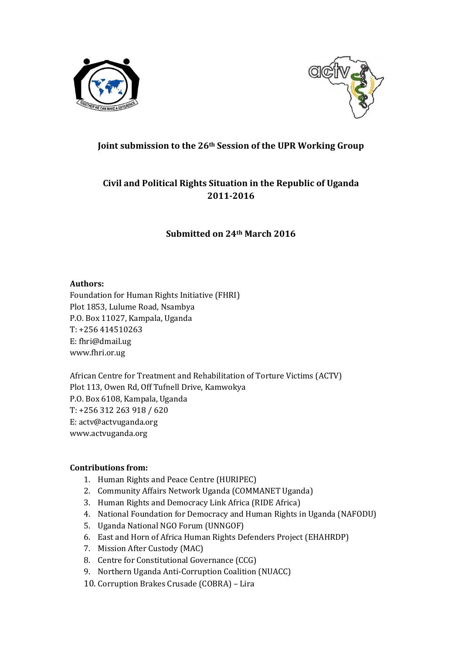



## **Joint submission to the 26th Session of the UPR Working Group**

# **Civil and Political Rights Situation in the Republic of Uganda 2011-2016**

### **Submitted on 24th March 2016**

### **Authors:**

Foundation for Human Rights Initiative (FHRI) Plot 1853, Lulume Road, Nsambya P.O. Box 11027, Kampala, Uganda T: +256 414510263 E: fhri@dmail.ug www.fhri.or.ug

African Centre for Treatment and Rehabilitation of Torture Victims (ACTV) Plot 113, Owen Rd, Off Tufnell Drive, Kamwokya P.O. Box 6108, Kampala, Uganda T: +256 312 263 918 / 620 E: actv@actvuganda.org www.actvuganda.org

### **Contributions from:**

- 1. Human Rights and Peace Centre (HURIPEC)
- 2. Community Affairs Network Uganda (COMMANET Uganda)
- 3. Human Rights and Democracy Link Africa (RIDE Africa)
- 4. National Foundation for Democracy and Human Rights in Uganda (NAFODU)
- 5. Uganda National NGO Forum (UNNGOF)
- 6. East and Horn of Africa Human Rights Defenders Project (EHAHRDP)
- 7. Mission After Custody (MAC)
- 8. Centre for Constitutional Governance (CCG)
- 9. Northern Uganda Anti-Corruption Coalition (NUACC)
- 10. Corruption Brakes Crusade (COBRA) Lira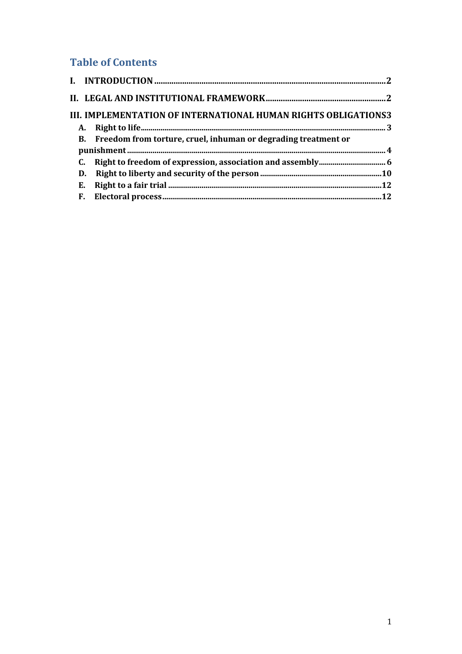# **Table of Contents**

|    | III. IMPLEMENTATION OF INTERNATIONAL HUMAN RIGHTS OBLIGATIONS3    |  |
|----|-------------------------------------------------------------------|--|
|    |                                                                   |  |
|    | B. Freedom from torture, cruel, inhuman or degrading treatment or |  |
|    |                                                                   |  |
|    |                                                                   |  |
| D. |                                                                   |  |
| Е. |                                                                   |  |
| F. |                                                                   |  |
|    |                                                                   |  |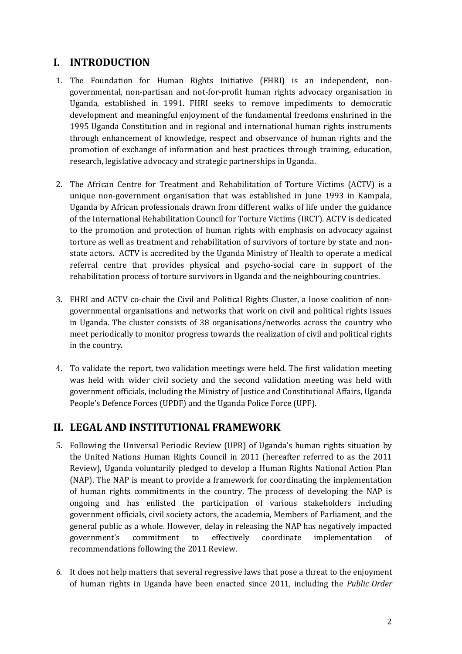# **I. INTRODUCTION**

- 1. The Foundation for Human Rights Initiative (FHRI) is an independent, nongovernmental, non-partisan and not-for-profit human rights advocacy organisation in Uganda, established in 1991. FHRI seeks to remove impediments to democratic development and meaningful enjoyment of the fundamental freedoms enshrined in the 1995 Uganda Constitution and in regional and international human rights instruments through enhancement of knowledge, respect and observance of human rights and the promotion of exchange of information and best practices through training, education, research, legislative advocacy and strategic partnerships in Uganda.
- 2. The African Centre for Treatment and Rehabilitation of Torture Victims (ACTV) is a unique non-government organisation that was established in June 1993 in Kampala, Uganda by African professionals drawn from different walks of life under the guidance of the International Rehabilitation Council for Torture Victims (IRCT). ACTV is dedicated to the promotion and protection of human rights with emphasis on advocacy against torture as well as treatment and rehabilitation of survivors of torture by state and nonstate actors. ACTV is accredited by the Uganda Ministry of Health to operate a medical referral centre that provides physical and psycho-social care in support of the rehabilitation process of torture survivors in Uganda and the neighbouring countries.
- 3. FHRI and ACTV co-chair the Civil and Political Rights Cluster, a loose coalition of nongovernmental organisations and networks that work on civil and political rights issues in Uganda. The cluster consists of 38 organisations/networks across the country who meet periodically to monitor progress towards the realization of civil and political rights in the country.
- 4. To validate the report, two validation meetings were held. The first validation meeting was held with wider civil society and the second validation meeting was held with government officials, including the Ministry of Justice and Constitutional Affairs, Uganda People's Defence Forces (UPDF) and the Uganda Police Force (UPF).

# **II. LEGAL AND INSTITUTIONAL FRAMEWORK**

- 5. Following the Universal Periodic Review (UPR) of Uganda's human rights situation by the United Nations Human Rights Council in 2011 (hereafter referred to as the 2011 Review), Uganda voluntarily pledged to develop a Human Rights National Action Plan (NAP). The NAP is meant to provide a framework for coordinating the implementation of human rights commitments in the country. The process of developing the NAP is ongoing and has enlisted the participation of various stakeholders including government officials, civil society actors, the academia, Members of Parliament, and the general public as a whole. However, delay in releasing the NAP has negatively impacted government's commitment to effectively coordinate implementation of recommendations following the 2011 Review.
- *6.* It does not help matters that several regressive laws that pose a threat to the enjoyment of human rights in Uganda have been enacted since 2011, including the *Public Order*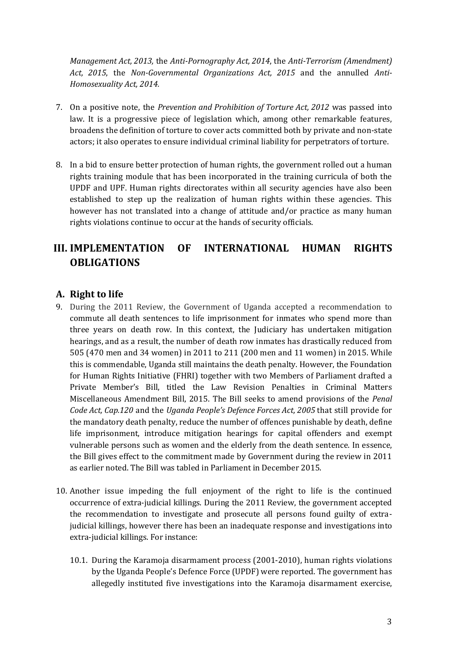*Management Act, 2013,* the *Anti-Pornography Act, 2014*, the *Anti-Terrorism (Amendment) Act, 2015*, the *Non-Governmental Organizations Act, 2015* and the annulled *Anti-Homosexuality Act, 2014.*

- 7. On a positive note, the *Prevention and Prohibition of Torture Act, 2012* was passed into law. It is a progressive piece of legislation which, among other remarkable features, broadens the definition of torture to cover acts committed both by private and non-state actors; it also operates to ensure individual criminal liability for perpetrators of torture.
- 8. In a bid to ensure better protection of human rights, the government rolled out a human rights training module that has been incorporated in the training curricula of both the UPDF and UPF. Human rights directorates within all security agencies have also been established to step up the realization of human rights within these agencies. This however has not translated into a change of attitude and/or practice as many human rights violations continue to occur at the hands of security officials.

# **III. IMPLEMENTATION OF INTERNATIONAL HUMAN RIGHTS OBLIGATIONS**

## **A. Right to life**

- 9. During the 2011 Review, the Government of Uganda accepted a recommendation to commute all death sentences to life imprisonment for inmates who spend more than three years on death row. In this context, the Judiciary has undertaken mitigation hearings, and as a result, the number of death row inmates has drastically reduced from 505 (470 men and 34 women) in 2011 to 211 (200 men and 11 women) in 2015. While this is commendable, Uganda still maintains the death penalty. However, the Foundation for Human Rights Initiative (FHRI) together with two Members of Parliament drafted a Private Member's Bill, titled the Law Revision Penalties in Criminal Matters Miscellaneous Amendment Bill, 2015. The Bill seeks to amend provisions of the *Penal Code Act, Cap.120* and the *Uganda People's Defence Forces Act, 2005* that still provide for the mandatory death penalty, reduce the number of offences punishable by death, define life imprisonment, introduce mitigation hearings for capital offenders and exempt vulnerable persons such as women and the elderly from the death sentence. In essence, the Bill gives effect to the commitment made by Government during the review in 2011 as earlier noted. The Bill was tabled in Parliament in December 2015.
- 10. Another issue impeding the full enjoyment of the right to life is the continued occurrence of extra-judicial killings. During the 2011 Review, the government accepted the recommendation to investigate and prosecute all persons found guilty of extrajudicial killings, however there has been an inadequate response and investigations into extra-judicial killings. For instance:
	- 10.1. During the Karamoja disarmament process (2001-2010), human rights violations by the Uganda People's Defence Force (UPDF) were reported. The government has allegedly instituted five investigations into the Karamoja disarmament exercise,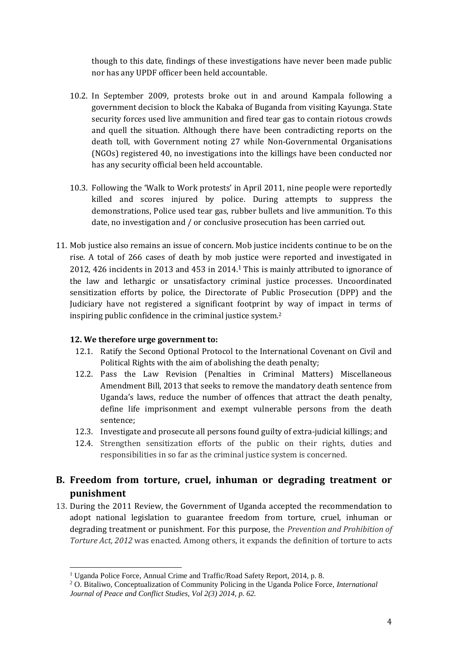though to this date, findings of these investigations have never been made public nor has any UPDF officer been held accountable.

- 10.2. In September 2009, protests broke out in and around Kampala following a government decision to block the Kabaka of Buganda from visiting Kayunga. State security forces used live ammunition and fired tear gas to contain riotous crowds and quell the situation. Although there have been contradicting reports on the death toll, with Government noting 27 while Non-Governmental Organisations (NGOs) registered 40, no investigations into the killings have been conducted nor has any security official been held accountable.
- 10.3. Following the 'Walk to Work protests' in April 2011, nine people were reportedly killed and scores injured by police. During attempts to suppress the demonstrations, Police used tear gas, rubber bullets and live ammunition. To this date, no investigation and / or conclusive prosecution has been carried out.
- 11. Mob justice also remains an issue of concern. Mob justice incidents continue to be on the rise. A total of 266 cases of death by mob justice were reported and investigated in 2012, 426 incidents in 2013 and 453 in 2014.<sup>1</sup> This is mainly attributed to ignorance of the law and lethargic or unsatisfactory criminal justice processes. Uncoordinated sensitization efforts by police, the Directorate of Public Prosecution (DPP) and the Judiciary have not registered a significant footprint by way of impact in terms of inspiring public confidence in the criminal justice system.<sup>2</sup>

### **12. We therefore urge government to:**

- 12.1. Ratify the Second Optional Protocol to the International Covenant on Civil and Political Rights with the aim of abolishing the death penalty;
- 12.2. Pass the Law Revision (Penalties in Criminal Matters) Miscellaneous Amendment Bill, 2013 that seeks to remove the mandatory death sentence from Uganda's laws, reduce the number of offences that attract the death penalty, define life imprisonment and exempt vulnerable persons from the death sentence;
- 12.3. Investigate and prosecute all persons found guilty of extra-judicial killings; and
- 12.4. Strengthen sensitization efforts of the public on their rights, duties and responsibilities in so far as the criminal justice system is concerned.

# **B. Freedom from torture, cruel, inhuman or degrading treatment or punishment**

13. During the 2011 Review, the Government of Uganda accepted the recommendation to adopt national legislation to guarantee freedom from torture, cruel, inhuman or degrading treatment or punishment. For this purpose, the *Prevention and Prohibition of Torture Act, 2012* was enacted. Among others, it expands the definition of torture to acts

 $\overline{a}$ <sup>1</sup> Uganda Police Force, Annual Crime and Traffic/Road Safety Report, 2014, p. 8.

<sup>2</sup> O. Bitaliwo, Conceptualization of Community Policing in the Uganda Police Force, *International Journal of Peace and Conflict Studies, Vol 2(3) 2014, p. 62.*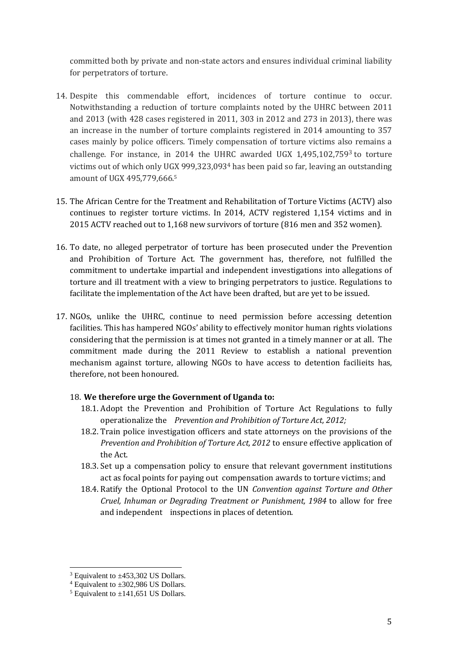committed both by private and non-state actors and ensures individual criminal liability for perpetrators of torture.

- 14. Despite this commendable effort, incidences of torture continue to occur. Notwithstanding a reduction of torture complaints noted by the UHRC between 2011 and 2013 (with 428 cases registered in 2011, 303 in 2012 and 273 in 2013), there was an increase in the number of torture complaints registered in 2014 amounting to 357 cases mainly by police officers. Timely compensation of torture victims also remains a challenge. For instance, in 2014 the UHRC awarded UGX  $1,495,102,7593$  to torture victims out of which only UGX 999,323,093<sup>4</sup> has been paid so far, leaving an outstanding amount of UGX 495,779,666. 5
- 15. The African Centre for the Treatment and Rehabilitation of Torture Victims (ACTV) also continues to register torture victims. In 2014, ACTV registered 1,154 victims and in 2015 ACTV reached out to 1,168 new survivors of torture (816 men and 352 women).
- 16. To date, no alleged perpetrator of torture has been prosecuted under the Prevention and Prohibition of Torture Act. The government has, therefore, not fulfilled the commitment to undertake impartial and independent investigations into allegations of torture and ill treatment with a view to bringing perpetrators to justice. Regulations to facilitate the implementation of the Act have been drafted, but are yet to be issued.
- 17. NGOs, unlike the UHRC, continue to need permission before accessing detention facilities. This has hampered NGOs' ability to effectively monitor human rights violations considering that the permission is at times not granted in a timely manner or at all. The commitment made during the 2011 Review to establish a national prevention mechanism against torture, allowing NGOs to have access to detention facilieits has, therefore, not been honoured.

### 18. **We therefore urge the Government of Uganda to:**

- 18.1. Adopt the Prevention and Prohibition of Torture Act Regulations to fully operationalize the *Prevention and Prohibition of Torture Act, 2012;*
- 18.2. Train police investigation officers and state attorneys on the provisions of the *Prevention and Prohibition of Torture Act, 2012* to ensure effective application of the Act.
- 18.3. Set up a compensation policy to ensure that relevant government institutions act as focal points for paying out compensation awards to torture victims; and
- 18.4. Ratify the Optional Protocol to the UN *Convention against Torture and Other Cruel, Inhuman or Degrading Treatment or Punishment, 1984* to allow for free and independent inspections in places of detention.

 $\overline{a}$ 

 $3$  Equivalent to  $\pm$ 453,302 US Dollars.

 $4$  Equivalent to  $\pm 302,986$  US Dollars.

 $<sup>5</sup>$  Equivalent to  $\pm$ 141,651 US Dollars.</sup>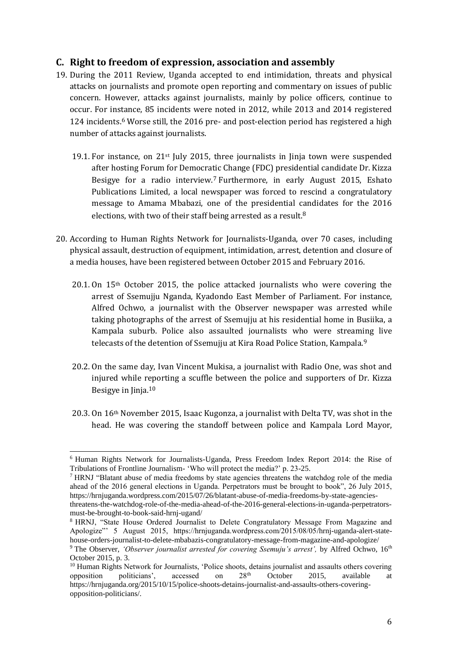### **C. Right to freedom of expression, association and assembly**

- 19. During the 2011 Review, Uganda accepted to end intimidation, threats and physical attacks on journalists and promote open reporting and commentary on issues of public concern. However, attacks against journalists, mainly by police officers, continue to occur. For instance, 85 incidents were noted in 2012, while 2013 and 2014 registered 124 incidents.<sup>6</sup> Worse still, the 2016 pre- and post-election period has registered a high number of attacks against journalists.
	- 19.1. For instance, on  $21^{st}$  July 2015, three journalists in Jinja town were suspended after hosting Forum for Democratic Change (FDC) presidential candidate Dr. Kizza Besigye for a radio interview.<sup>7</sup> Furthermore, in early August 2015, Eshato Publications Limited, a local newspaper was forced to rescind a congratulatory message to Amama Mbabazi, one of the presidential candidates for the 2016 elections, with two of their staff being arrested as a result. $8$
- 20. According to Human Rights Network for Journalists-Uganda, over 70 cases, including physical assault, destruction of equipment, intimidation, arrest, detention and closure of a media houses, have been registered between October 2015 and February 2016.
	- $20.1$ . On  $15<sup>th</sup>$  October 2015, the police attacked journalists who were covering the arrest of Ssemujju Nganda, Kyadondo East Member of Parliament. For instance, Alfred Ochwo, a journalist with the Observer newspaper was arrested while taking photographs of the arrest of Ssemujju at his residential home in Busiika, a Kampala suburb. Police also assaulted journalists who were streaming live telecasts of the detention of Ssemujju at Kira Road Police Station, Kampala.<sup>9</sup>
	- 20.2. On the same day, Ivan Vincent Mukisa, a journalist with Radio One, was shot and injured while reporting a scuffle between the police and supporters of Dr. Kizza Besigye in Jinja.<sup>10</sup>
	- 20.3. On 16th November 2015, Isaac Kugonza, a journalist with Delta TV, was shot in the head. He was covering the standoff between police and Kampala Lord Mayor,

l

<sup>6</sup> Human Rights Network for Journalists-Uganda, Press Freedom Index Report 2014: the Rise of Tribulations of Frontline Journalism- 'Who will protect the media?' p. 23-25.

<sup>7</sup> HRNJ "Blatant abuse of media freedoms by state agencies threatens the watchdog role of the media ahead of the 2016 general elections in Uganda. Perpetrators must be brought to book", 26 July 2015, https://hrnjuganda.wordpress.com/2015/07/26/blatant-abuse-of-media-freedoms-by-state-agenciesthreatens-the-watchdog-role-of-the-media-ahead-of-the-2016-general-elections-in-uganda-perpetratorsmust-be-brought-to-book-said-hrnj-ugand/

<sup>8</sup> HRNJ, "State House Ordered Journalist to Delete Congratulatory Message From Magazine and Apologize"' 5 August 2015, https://hrnjuganda.wordpress.com/2015/08/05/hrnj-uganda-alert-statehouse-orders-journalist-to-delete-mbabazis-congratulatory-message-from-magazine-and-apologize/

<sup>&</sup>lt;sup>9</sup> The Observer, *'Observer journalist arrested for covering Ssemuju's arrest'*, by Alfred Ochwo, 16<sup>th</sup> October 2015, p. 3.

<sup>&</sup>lt;sup>10</sup> Human Rights Network for Journalists, 'Police shoots, detains journalist and assaults others covering opposition politicians', accessed on  $28<sup>th</sup>$  October 2015, available at https://hrnjuganda.org/2015/10/15/police-shoots-detains-journalist-and-assaults-others-coveringopposition-politicians/.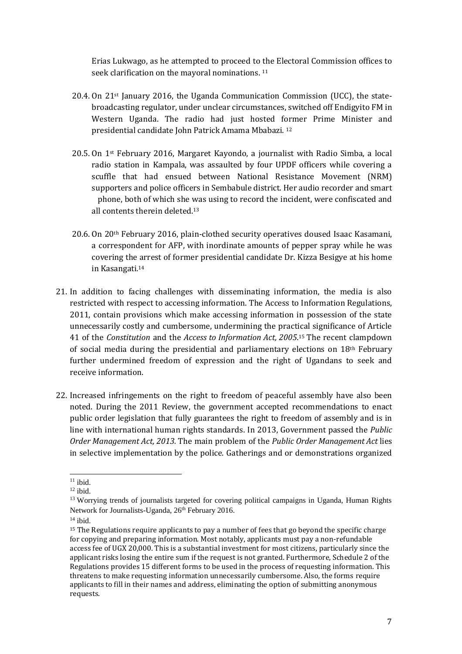Erias Lukwago, as he attempted to proceed to the Electoral Commission offices to seek clarification on the mayoral nominations. <sup>11</sup>

- 20.4. On 21st January 2016, the Uganda Communication Commission (UCC), the statebroadcasting regulator, under unclear circumstances, switched off Endigyito FM in Western Uganda. The radio had just hosted former Prime Minister and presidential candidate John Patrick Amama Mbabazi. <sup>12</sup>
- 20.5. On 1st February 2016, Margaret Kayondo, a journalist with Radio Simba, a local radio station in Kampala, was assaulted by four UPDF officers while covering a scuffle that had ensued between National Resistance Movement (NRM) supporters and police officers in Sembabule district. Her audio recorder and smart phone, both of which she was using to record the incident, were confiscated and all contents therein deleted.<sup>13</sup>
- 20.6. On 20th February 2016, plain-clothed security operatives doused Isaac Kasamani, a correspondent for AFP, with inordinate amounts of pepper spray while he was covering the arrest of former presidential candidate Dr. Kizza Besigye at his home in Kasangati.<sup>14</sup>
- 21. In addition to facing challenges with disseminating information, the media is also restricted with respect to accessing information. The Access to Information Regulations, 2011, contain provisions which make accessing information in possession of the state unnecessarily costly and cumbersome, undermining the practical significance of Article 41 of the *Constitution* and the *Access to Information Act, 2005*. <sup>15</sup> The recent clampdown of social media during the presidential and parliamentary elections on  $18<sup>th</sup>$  February further undermined freedom of expression and the right of Ugandans to seek and receive information.
- 22. Increased infringements on the right to freedom of peaceful assembly have also been noted. During the 2011 Review, the government accepted recommendations to enact public order legislation that fully guarantees the right to freedom of assembly and is in line with international human rights standards. In 2013, Government passed the *Public Order Management Act, 2013.* The main problem of the *Public Order Management Act* lies in selective implementation by the police. Gatherings and or demonstrations organized

l  $11$  ibid.

 $12$  ibid.

<sup>&</sup>lt;sup>13</sup> Worrying trends of journalists targeted for covering political campaigns in Uganda, Human Rights Network for Journalists-Uganda, 26<sup>th</sup> February 2016.

 $14$  ibid.

<sup>&</sup>lt;sup>15</sup> The Regulations require applicants to pay a number of fees that go beyond the specific charge for copying and preparing information. Most notably, applicants must pay a non-refundable access fee of UGX 20,000. This is a substantial investment for most citizens, particularly since the applicant risks losing the entire sum if the request is not granted. Furthermore, Schedule 2 of the Regulations provides 15 different forms to be used in the process of requesting information. This threatens to make requesting information unnecessarily cumbersome. Also, the forms require applicants to fill in their names and address, eliminating the option of submitting anonymous requests.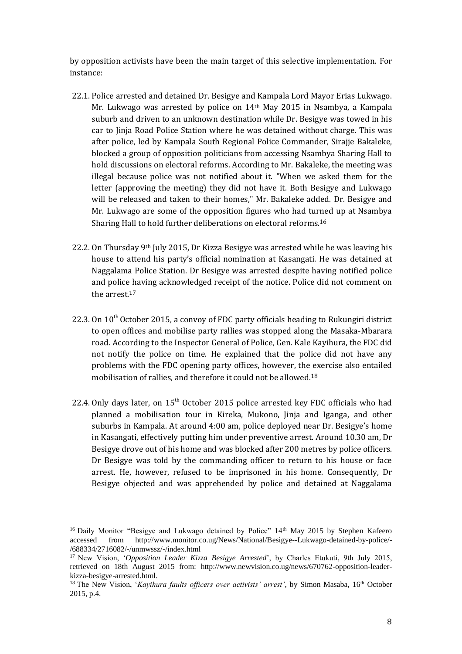by opposition activists have been the main target of this selective implementation. For instance:

- 22.1. Police arrested and detained Dr. Besigye and Kampala Lord Mayor Erias Lukwago. Mr. Lukwago was arrested by police on 14th May 2015 in Nsambya, a Kampala suburb and driven to an unknown destination while Dr. Besigye was towed in his car to Jinja Road Police Station where he was detained without charge. This was after police, led by Kampala South Regional Police Commander, Sirajje Bakaleke, blocked a group of opposition politicians from accessing Nsambya Sharing Hall to hold discussions on electoral reforms. According to Mr. Bakaleke, the meeting was illegal because police was not notified about it. "When we asked them for the letter (approving the meeting) they did not have it. Both Besigye and Lukwago will be released and taken to their homes," Mr. Bakaleke added. Dr. Besigye and Mr. Lukwago are some of the opposition figures who had turned up at Nsambya Sharing Hall to hold further deliberations on electoral reforms.<sup>16</sup>
- 22.2. On Thursday 9<sup>th</sup> July 2015, Dr Kizza Besigye was arrested while he was leaving his house to attend his party's official nomination at Kasangati. He was detained at Naggalama Police Station. Dr Besigye was arrested despite having notified police and police having acknowledged receipt of the notice. Police did not comment on the arrest.<sup>17</sup>
- 22.3. On  $10^{th}$  October 2015, a convoy of FDC party officials heading to Rukungiri district to open offices and mobilise party rallies was stopped along the Masaka-Mbarara road. According to the Inspector General of Police, Gen. Kale Kayihura, the FDC did not notify the police on time. He explained that the police did not have any problems with the FDC opening party offices, however, the exercise also entailed mobilisation of rallies, and therefore it could not be allowed.<sup>18</sup>
- 22.4. Only days later, on  $15<sup>th</sup>$  October 2015 police arrested key FDC officials who had planned a mobilisation tour in Kireka, Mukono, Jinja and Iganga, and other suburbs in Kampala. At around 4:00 am, police deployed near Dr. Besigye's home in Kasangati, effectively putting him under preventive arrest. Around 10.30 am, Dr Besigye drove out of his home and was blocked after 200 metres by police officers. Dr Besigye was told by the commanding officer to return to his house or face arrest. He, however, refused to be imprisoned in his home. Consequently, Dr Besigye objected and was apprehended by police and detained at Naggalama

l <sup>16</sup> Daily Monitor "Besigye and Lukwago detained by Police" 14<sup>th</sup> May 2015 by Stephen Kafeero accessed from http://www.monitor.co.ug/News/National/Besigye--Lukwago-detained-by-police/- /688334/2716082/-/unmwssz/-/index.html

<sup>17</sup> New Vision, '*Opposition Leader Kizza Besigye Arrested*', by Charles Etukuti, 9th July 2015, retrieved on 18th August 2015 from: http://www.newvision.co.ug/news/670762-opposition-leaderkizza-besigye-arrested.html.

<sup>&</sup>lt;sup>18</sup> The New Vision, '*Kayihura faults officers over activists' arrest'*, by Simon Masaba, 16<sup>th</sup> October 2015, p.4.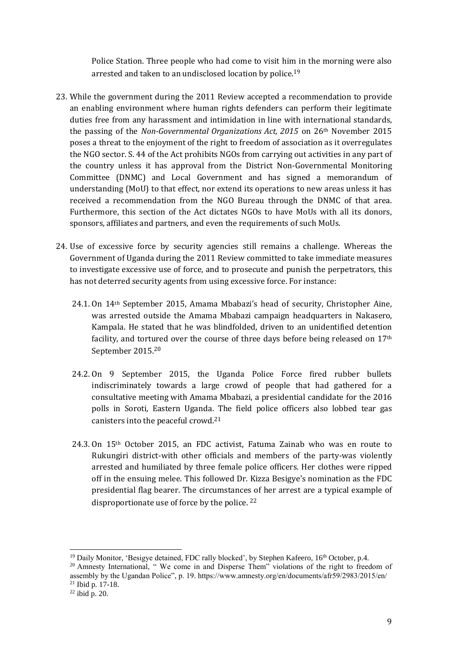Police Station. Three people who had come to visit him in the morning were also arrested and taken to an undisclosed location by police.<sup>19</sup>

- 23. While the government during the 2011 Review accepted a recommendation to provide an enabling environment where human rights defenders can perform their legitimate duties free from any harassment and intimidation in line with international standards, the passing of the *Non-Governmental Organizations Act, 2015* on 26th November 2015 poses a threat to the enjoyment of the right to freedom of association as it overregulates the NGO sector. S. 44 of the Act prohibits NGOs from carrying out activities in any part of the country unless it has approval from the District Non-Governmental Monitoring Committee (DNMC) and Local Government and has signed a memorandum of understanding (MoU) to that effect, nor extend its operations to new areas unless it has received a recommendation from the NGO Bureau through the DNMC of that area. Furthermore, this section of the Act dictates NGOs to have MoUs with all its donors, sponsors, affiliates and partners, and even the requirements of such MoUs.
- 24. Use of excessive force by security agencies still remains a challenge. Whereas the Government of Uganda during the 2011 Review committed to take immediate measures to investigate excessive use of force, and to prosecute and punish the perpetrators, this has not deterred security agents from using excessive force. For instance:
	- 24.1. On 14th September 2015, Amama Mbabazi's head of security, Christopher Aine, was arrested outside the Amama Mbabazi campaign headquarters in Nakasero, Kampala. He stated that he was blindfolded, driven to an unidentified detention facility, and tortured over the course of three days before being released on 17<sup>th</sup> September 2015.<sup>20</sup>
	- 24.2. On 9 September 2015, the Uganda Police Force fired rubber bullets indiscriminately towards a large crowd of people that had gathered for a consultative meeting with Amama Mbabazi, a presidential candidate for the 2016 polls in Soroti, Eastern Uganda. The field police officers also lobbed tear gas canisters into the peaceful crowd.<sup>21</sup>
	- 24.3. On 15th October 2015, an FDC activist, Fatuma Zainab who was en route to Rukungiri district-with other officials and members of the party-was violently arrested and humiliated by three female police officers. Her clothes were ripped off in the ensuing melee. This followed Dr. Kizza Besigye's nomination as the FDC presidential flag bearer. The circumstances of her arrest are a typical example of disproportionate use of force by the police. <sup>22</sup>

l

 $19$  Daily Monitor, 'Besigye detained, FDC rally blocked', by Stephen Kafeero,  $16<sup>th</sup>$  October, p.4.

<sup>&</sup>lt;sup>20</sup> Amnesty International, " We come in and Disperse Them" violations of the right to freedom of assembly by the Ugandan Police", p. 19. https://www.amnesty.org/en/documents/afr59/2983/2015/en/  $21$  Ibid p. 17-18.

 $22$  ibid p. 20.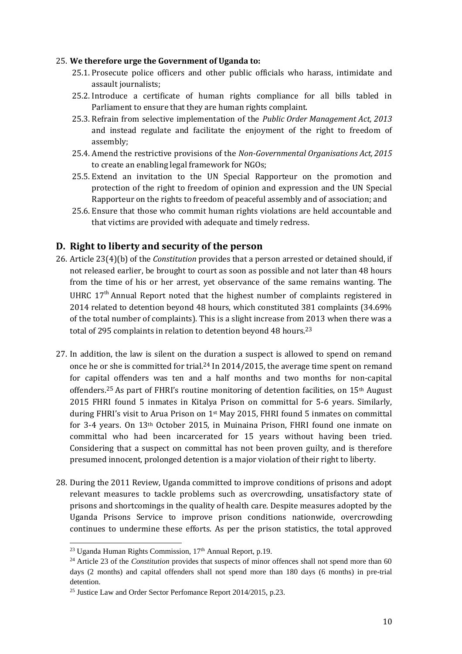#### 25. **We therefore urge the Government of Uganda to:**

- 25.1. Prosecute police officers and other public officials who harass, intimidate and assault journalists;
- 25.2. Introduce a certificate of human rights compliance for all bills tabled in Parliament to ensure that they are human rights complaint.
- 25.3. Refrain from selective implementation of the *Public Order Management Act, 2013*  and instead regulate and facilitate the enjoyment of the right to freedom of assembly;
- 25.4. Amend the restrictive provisions of the *Non-Governmental Organisations Act, 2015* to create an enabling legal framework for NGOs;
- 25.5. Extend an invitation to the UN Special Rapporteur on the promotion and protection of the right to freedom of opinion and expression and the UN Special Rapporteur on the rights to freedom of peaceful assembly and of association; and
- 25.6. Ensure that those who commit human rights violations are held accountable and that victims are provided with adequate and timely redress.

## **D. Right to liberty and security of the person**

- 26. Article 23(4)(b) of the *Constitution* provides that a person arrested or detained should, if not released earlier, be brought to court as soon as possible and not later than 48 hours from the time of his or her arrest, yet observance of the same remains wanting. The UHRC  $17<sup>th</sup>$  Annual Report noted that the highest number of complaints registered in 2014 related to detention beyond 48 hours, which constituted 381 complaints (34.69% of the total number of complaints). This is a slight increase from 2013 when there was a total of 295 complaints in relation to detention beyond 48 hours.<sup>23</sup>
- 27. In addition, the law is silent on the duration a suspect is allowed to spend on remand once he or she is committed for trial.<sup>24</sup> In 2014/2015, the average time spent on remand for capital offenders was ten and a half months and two months for non-capital offenders.<sup>25</sup> As part of FHRI's routine monitoring of detention facilities, on 15<sup>th</sup> August 2015 FHRI found 5 inmates in Kitalya Prison on committal for 5-6 years. Similarly, during FHRI's visit to Arua Prison on 1st May 2015, FHRI found 5 inmates on committal for 3-4 years. On 13th October 2015, in Muinaina Prison, FHRI found one inmate on committal who had been incarcerated for 15 years without having been tried. Considering that a suspect on committal has not been proven guilty, and is therefore presumed innocent, prolonged detention is a major violation of their right to liberty.
- 28. During the 2011 Review, Uganda committed to improve conditions of prisons and adopt relevant measures to tackle problems such as overcrowding, unsatisfactory state of prisons and shortcomings in the quality of health care. Despite measures adopted by the Uganda Prisons Service to improve prison conditions nationwide, overcrowding continues to undermine these efforts. As per the prison statistics, the total approved

l

 $^{23}$  Uganda Human Rights Commission,  $17<sup>th</sup>$  Annual Report, p.19.

<sup>&</sup>lt;sup>24</sup> Article 23 of the *Constitution* provides that suspects of minor offences shall not spend more than 60 days (2 months) and capital offenders shall not spend more than 180 days (6 months) in pre-trial detention.

<sup>25</sup> Justice Law and Order Sector Perfomance Report 2014/2015, p.23.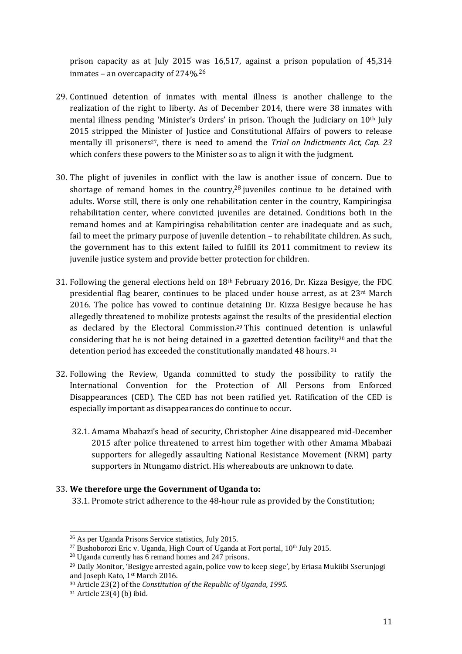prison capacity as at July 2015 was 16,517, against a prison population of 45,314 inmates – an overcapacity of 274%.<sup>26</sup>

- 29. Continued detention of inmates with mental illness is another challenge to the realization of the right to liberty. As of December 2014, there were 38 inmates with mental illness pending 'Minister's Orders' in prison. Though the Judiciary on 10th July 2015 stripped the Minister of Justice and Constitutional Affairs of powers to release mentally ill prisoners<sup>27</sup>, there is need to amend the *Trial on Indictments Act, Cap. 23* which confers these powers to the Minister so as to align it with the judgment.
- 30. The plight of juveniles in conflict with the law is another issue of concern. Due to shortage of remand homes in the country,<sup>28</sup> juveniles continue to be detained with adults. Worse still, there is only one rehabilitation center in the country, Kampiringisa rehabilitation center, where convicted juveniles are detained. Conditions both in the remand homes and at Kampiringisa rehabilitation center are inadequate and as such, fail to meet the primary purpose of juvenile detention – to rehabilitate children. As such, the government has to this extent failed to fulfill its 2011 commitment to review its juvenile justice system and provide better protection for children.
- 31. Following the general elections held on  $18<sup>th</sup>$  February 2016, Dr. Kizza Besigye, the FDC presidential flag bearer, continues to be placed under house arrest, as at  $23<sup>rd</sup>$  March 2016. The police has vowed to continue detaining Dr. Kizza Besigye because he has allegedly threatened to mobilize protests against the results of the presidential election as declared by the Electoral Commission. <sup>29</sup> This continued detention is unlawful considering that he is not being detained in a gazetted detention facility<sup>30</sup> and that the detention period has exceeded the constitutionally mandated 48 hours. 31
- 32. Following the Review, Uganda committed to study the possibility to ratify the International Convention for the Protection of All Persons from Enforced Disappearances (CED). The CED has not been ratified yet. Ratification of the CED is especially important as disappearances do continue to occur.
	- 32.1. Amama Mbabazi's head of security, Christopher Aine disappeared mid-December 2015 after police threatened to arrest him together with other Amama Mbabazi supporters for allegedly assaulting National Resistance Movement (NRM) party supporters in Ntungamo district. His whereabouts are unknown to date.

### 33. **We therefore urge the Government of Uganda to:**

33.1. Promote strict adherence to the 48-hour rule as provided by the Constitution;

 $\overline{a}$ <sup>26</sup> As per Uganda Prisons Service statistics, July 2015.

 $^{27}$  Bushoborozi Eric v. Uganda, High Court of Uganda at Fort portal,  $10^{th}$  July 2015.

<sup>28</sup> Uganda currently has 6 remand homes and 247 prisons.

<sup>29</sup> Daily Monitor, 'Besigye arrested again, police vow to keep siege', by Eriasa Mukiibi Sserunjogi and Joseph Kato, 1<sup>st</sup> March 2016.

<sup>30</sup> Article 23(2) of the *Constitution of the Republic of Uganda, 1995*.

<sup>31</sup> Article 23(4) (b) ibid.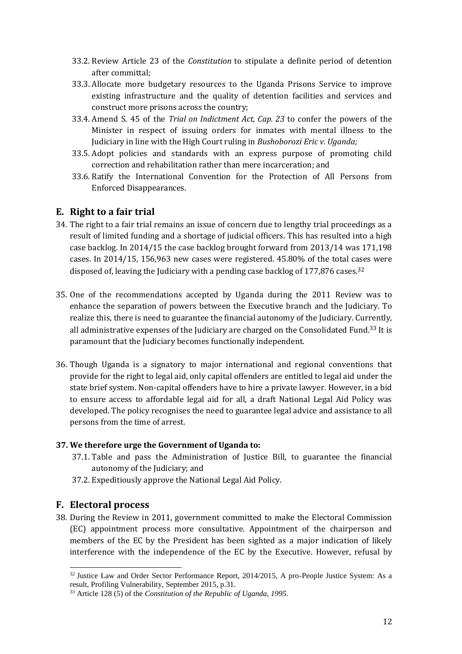- 33.2. Review Article 23 of the *Constitution* to stipulate a definite period of detention after committal;
- 33.3. Allocate more budgetary resources to the Uganda Prisons Service to improve existing infrastructure and the quality of detention facilities and services and construct more prisons across the country;
- 33.4. Amend S. 45 of the *Trial on Indictment Act, Cap. 23* to confer the powers of the Minister in respect of issuing orders for inmates with mental illness to the Judiciary in line with the High Court ruling in *Bushoborozi Eric v. Uganda;*
- 33.5. Adopt policies and standards with an express purpose of promoting child correction and rehabilitation rather than mere incarceration; and
- 33.6. Ratify the International Convention for the Protection of All Persons from Enforced Disappearances.

## **E. Right to a fair trial**

- 34. The right to a fair trial remains an issue of concern due to lengthy trial proceedings as a result of limited funding and a shortage of judicial officers. This has resulted into a high case backlog. In 2014/15 the case backlog brought forward from 2013/14 was 171,198 cases. In 2014/15, 156,963 new cases were registered. 45.80% of the total cases were disposed of, leaving the Judiciary with a pending case backlog of  $177,876$  cases.<sup>32</sup>
- 35. One of the recommendations accepted by Uganda during the 2011 Review was to enhance the separation of powers between the Executive branch and the Judiciary. To realize this, there is need to guarantee the financial autonomy of the Judiciary. Currently, all administrative expenses of the Judiciary are charged on the Consolidated Fund.<sup>33</sup> It is paramount that the Judiciary becomes functionally independent.
- 36. Though Uganda is a signatory to major international and regional conventions that provide for the right to legal aid, only capital offenders are entitled to legal aid under the state brief system. Non-capital offenders have to hire a private lawyer. However, in a bid to ensure access to affordable legal aid for all, a draft National Legal Aid Policy was developed. The policy recognises the need to guarantee legal advice and assistance to all persons from the time of arrest.

### **37. We therefore urge the Government of Uganda to:**

- 37.1. Table and pass the Administration of Justice Bill, to guarantee the financial autonomy of the Judiciary; and
- 37.2. Expeditiously approve the National Legal Aid Policy.

## **F. Electoral process**

38. During the Review in 2011, government committed to make the Electoral Commission (EC) appointment process more consultative. Appointment of the chairperson and members of the EC by the President has been sighted as a major indication of likely interference with the independence of the EC by the Executive. However, refusal by

 $\overline{a}$  $32$  Justice Law and Order Sector Performance Report, 2014/2015, A pro-People Justice System: As a result, Profiling Vulnerability, September 2015, p.31.

<sup>33</sup> Article 128 (5) of the *Constitution of the Republic of Uganda, 1995.*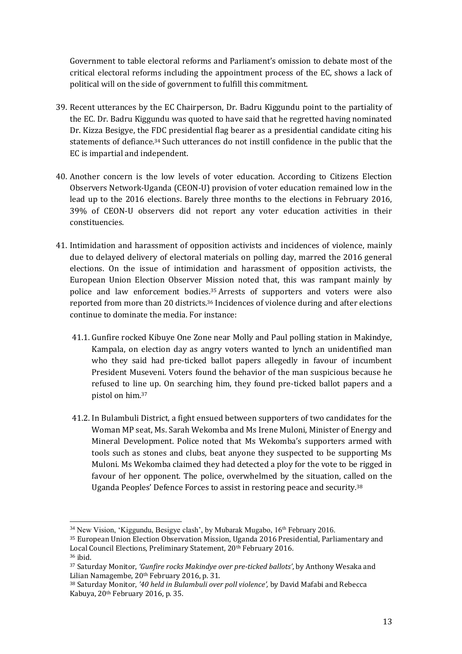Government to table electoral reforms and Parliament's omission to debate most of the critical electoral reforms including the appointment process of the EC, shows a lack of political will on the side of government to fulfill this commitment.

- 39. Recent utterances by the EC Chairperson, Dr. Badru Kiggundu point to the partiality of the EC. Dr. Badru Kiggundu was quoted to have said that he regretted having nominated Dr. Kizza Besigye, the FDC presidential flag bearer as a presidential candidate citing his statements of defiance.<sup>34</sup> Such utterances do not instill confidence in the public that the EC is impartial and independent.
- 40. Another concern is the low levels of voter education. According to Citizens Election Observers Network-Uganda (CEON-U) provision of voter education remained low in the lead up to the 2016 elections. Barely three months to the elections in February 2016, 39% of CEON-U observers did not report any voter education activities in their constituencies.
- 41. Intimidation and harassment of opposition activists and incidences of violence, mainly due to delayed delivery of electoral materials on polling day, marred the 2016 general elections. On the issue of intimidation and harassment of opposition activists, the European Union Election Observer Mission noted that, this was rampant mainly by police and law enforcement bodies.<sup>35</sup> Arrests of supporters and voters were also reported from more than 20 districts.<sup>36</sup> Incidences of violence during and after elections continue to dominate the media. For instance:
	- 41.1. Gunfire rocked Kibuye One Zone near Molly and Paul polling station in Makindye, Kampala, on election day as angry voters wanted to lynch an unidentified man who they said had pre-ticked ballot papers allegedly in favour of incumbent President Museveni. Voters found the behavior of the man suspicious because he refused to line up. On searching him, they found pre-ticked ballot papers and a pistol on him.<sup>37</sup>
	- 41.2. In Bulambuli District, a fight ensued between supporters of two candidates for the Woman MP seat, Ms. Sarah Wekomba and Ms Irene Muloni, Minister of Energy and Mineral Development. Police noted that Ms Wekomba's supporters armed with tools such as stones and clubs, beat anyone they suspected to be supporting Ms Muloni. Ms Wekomba claimed they had detected a ploy for the vote to be rigged in favour of her opponent. The police, overwhelmed by the situation, called on the Uganda Peoples' Defence Forces to assist in restoring peace and security.<sup>38</sup>

 $\overline{a}$ 

 $34$  New Vision, 'Kiggundu, Besigye clash', by Mubarak Mugabo,  $16<sup>th</sup>$  February 2016.

<sup>35</sup> European Union Election Observation Mission, Uganda 2016 Presidential, Parliamentary and Local Council Elections, Preliminary Statement, 20<sup>th</sup> February 2016.

<sup>36</sup> ibid.

<sup>37</sup> Saturday Monitor, *'Gunfire rocks Makindye over pre-ticked ballots'*, by Anthony Wesaka and Lilian Namagembe, 20<sup>th</sup> February 2016, p. 31.

<sup>38</sup> Saturday Monitor, *'40 held in Bulambuli over poll violence',* by David Mafabi and Rebecca Kabuya, 20th February 2016, p. 35.